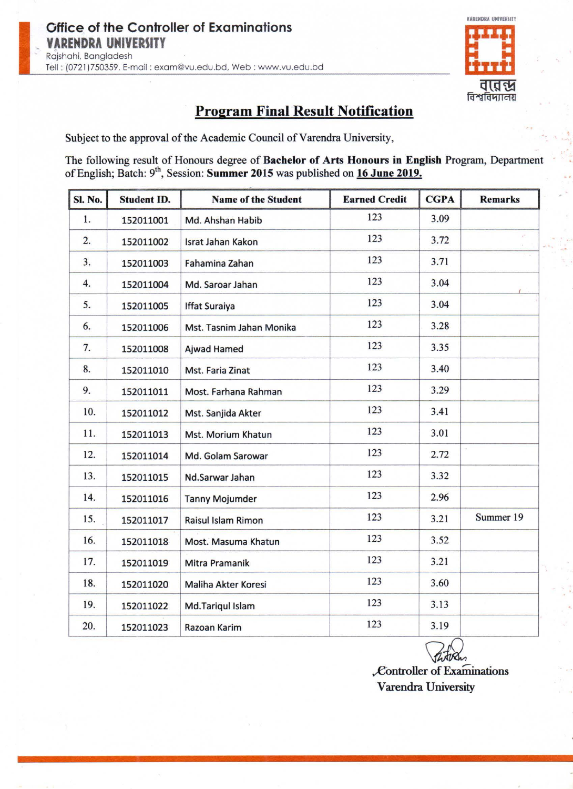Rajshahi, Bangladesh

 $\sim$  1.0  $\sim$ 

Tell: (0721 )750359, E-mail : exam@vu.edu.bd, Web: www.vu.edu.bd

The following result of Honours degree of Bachelor of Arts Honours in English Program, Department of English; Batch: 9<sup>th</sup>, Session: Summer 2015 was published on 16 June 2019.

#### Office of the Controller of Examinations **YARENDRA UNIVERSITY**

•

Subject to the approval of the Academic Council of Varendra University,



 $\cdot$  +  $\cdot$  +  $\cdot$  +  $\cdot$  +  $\cdot$  +  $\cdot$  +  $\cdot$  +  $\cdot$  +  $\cdot$  +  $\cdot$  +  $\cdot$  +  $\cdot$  +  $\cdot$  +  $\cdot$  +  $\cdot$  +  $\cdot$  +  $\cdot$  +  $\cdot$  +  $\cdot$  +  $\cdot$  +  $\cdot$  +  $\cdot$  +  $\cdot$  +  $\cdot$  +  $\cdot$  +  $\cdot$  +  $\cdot$  +  $\cdot$  +  $\cdot$  +  $\cdot$  +  $\cdot$  +  $\cdot$ 

| <b>Sl. No.</b> | <b>Student ID.</b> | <b>Name of the Student</b> | <b>Earned Credit</b> | <b>CGPA</b> | <b>Remarks</b> |
|----------------|--------------------|----------------------------|----------------------|-------------|----------------|
| 1.             | 152011001          | Md. Ahshan Habib           | 123                  | 3.09        |                |
| 2.             | 152011002          | Israt Jahan Kakon          | 123                  | 3.72        |                |
| 3.             | 152011003          | Fahamina Zahan             | 123                  | 3.71        |                |
| 4.             | 152011004          | Md. Saroar Jahan           | 123                  | 3.04        |                |
| 5.             | 152011005          | <b>Iffat Suraiya</b>       | 123                  | 3.04        |                |
| 6.             | 152011006          | Mst. Tasnim Jahan Monika   | 123                  | 3.28        |                |
| 7.             | 152011008          | Ajwad Hamed                | 123                  | 3.35        |                |
| 8.             | 152011010          | <b>Mst. Faria Zinat</b>    | 123                  | 3.40        |                |
| 9.             | 152011011          | Most. Farhana Rahman       | 123                  | 3.29        |                |
| 10.            | 152011012          | Mst. Sanjida Akter         | 123                  | 3.41        |                |
| 11.            | 152011013          | Mst. Morium Khatun         | 123                  | 3.01        |                |
| 12.            | 152011014          | Md. Golam Sarowar          | 123                  | 2.72        |                |
| 13.            | 152011015          | Nd.Sarwar Jahan            | 123                  | 3.32        |                |
| 14.            | 152011016          | <b>Tanny Mojumder</b>      | 123                  | 2.96        |                |
| 15.            | 152011017          | Raisul Islam Rimon         | 123                  | 3.21        | Summer 19      |
| 16.            | 152011018          | Most. Masuma Khatun        | 123                  | 3.52        |                |
| 17.            | 152011019          | Mitra Pramanik             | 123                  | 3.21        |                |
| 18.            | 152011020          | Maliha Akter Koresi        | 123                  | 3.60        |                |
| 19.            | 152011022          | Md.Tariqul Islam           | 123                  | 3.13        |                |
| 20.            | 152011023          | Razoan Karim               | 123                  | 3.19        |                |



 $\n *Controller* of Examinations\n$ Varendra University

• '

• •

•

I

 $\cdot$  .  $\cdot$  .

•

•

' ......

## **Program Final Result Notification**

•

 $\sim$ 

The State

 $\sim$  1  $_{\rm 200}$ 

•

•

 $\epsilon$   $\epsilon$ 

•